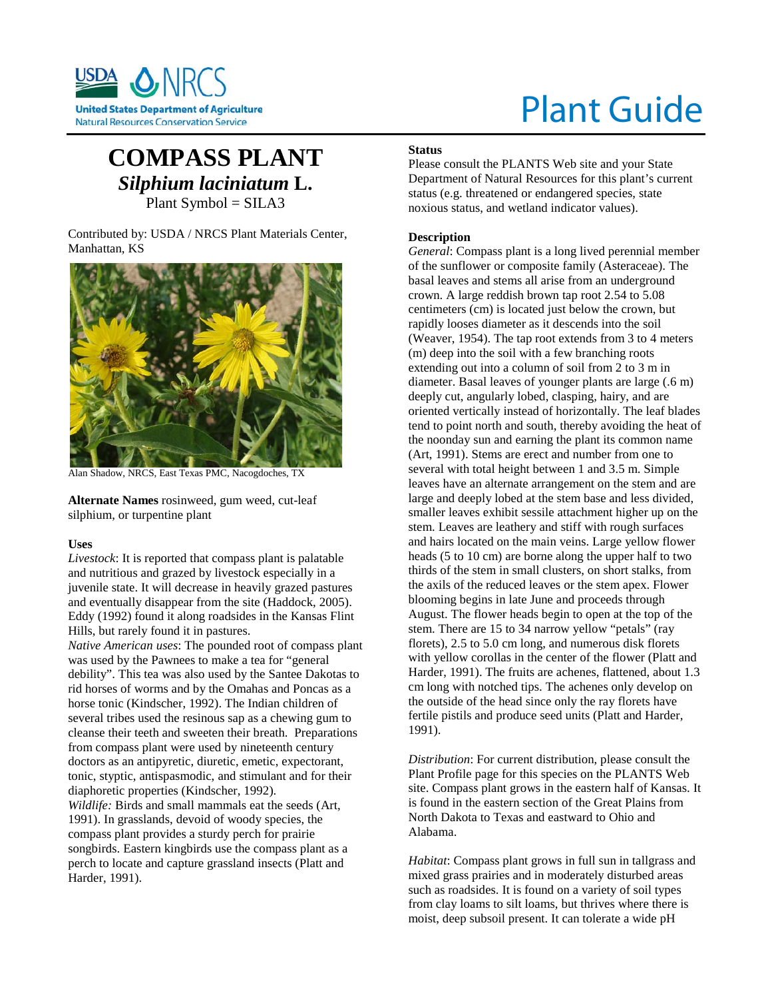

# Plant Guide

# **COMPASS PLANT** *Silphium laciniatum* **L.** Plant Symbol = SILA3

Contributed by: USDA / NRCS Plant Materials Center, Manhattan, KS



Alan Shadow, NRCS, East Texas PMC, Nacogdoches, TX

**Alternate Names** rosinweed, gum weed, cut-leaf silphium, or turpentine plant

#### **Uses**

*Livestock*: It is reported that compass plant is palatable and nutritious and grazed by livestock especially in a juvenile state. It will decrease in heavily grazed pastures and eventually disappear from the site (Haddock, 2005). Eddy (1992) found it along roadsides in the Kansas Flint Hills, but rarely found it in pastures.

*Native American uses*: The pounded root of compass plant was used by the Pawnees to make a tea for "general debility". This tea was also used by the Santee Dakotas to rid horses of worms and by the Omahas and Poncas as a horse tonic (Kindscher, 1992). The Indian children of several tribes used the resinous sap as a chewing gum to cleanse their teeth and sweeten their breath. Preparations from compass plant were used by nineteenth century doctors as an antipyretic, diuretic, emetic, expectorant, tonic, styptic, antispasmodic, and stimulant and for their diaphoretic properties (Kindscher, 1992). *Wildlife:* Birds and small mammals eat the seeds (Art, 1991). In grasslands, devoid of woody species, the compass plant provides a sturdy perch for prairie songbirds. Eastern kingbirds use the compass plant as a perch to locate and capture grassland insects (Platt and Harder, 1991).

# **Status**

Please consult the PLANTS Web site and your State Department of Natural Resources for this plant's current status (e.g. threatened or endangered species, state noxious status, and wetland indicator values).

# **Description**

*General*: Compass plant is a long lived perennial member of the sunflower or composite family (Asteraceae). The basal leaves and stems all arise from an underground crown. A large reddish brown tap root 2.54 to 5.08 centimeters (cm) is located just below the crown, but rapidly looses diameter as it descends into the soil (Weaver, 1954). The tap root extends from 3 to 4 meters (m) deep into the soil with a few branching roots extending out into a column of soil from 2 to 3 m in diameter. Basal leaves of younger plants are large (.6 m) deeply cut, angularly lobed, clasping, hairy, and are oriented vertically instead of horizontally. The leaf blades tend to point north and south, thereby avoiding the heat of the noonday sun and earning the plant its common name (Art, 1991). Stems are erect and number from one to several with total height between 1 and 3.5 m. Simple leaves have an alternate arrangement on the stem and are large and deeply lobed at the stem base and less divided, smaller leaves exhibit sessile attachment higher up on the stem. Leaves are leathery and stiff with rough surfaces and hairs located on the main veins. Large yellow flower heads (5 to 10 cm) are borne along the upper half to two thirds of the stem in small clusters, on short stalks, from the axils of the reduced leaves or the stem apex. Flower blooming begins in late June and proceeds through August. The flower heads begin to open at the top of the stem. There are 15 to 34 narrow yellow "petals" (ray florets), 2.5 to 5.0 cm long, and numerous disk florets with yellow corollas in the center of the flower (Platt and Harder, 1991). The fruits are achenes, flattened, about 1.3 cm long with notched tips. The achenes only develop on the outside of the head since only the ray florets have fertile pistils and produce seed units (Platt and Harder, 1991).

*Distribution*: For current distribution, please consult the Plant Profile page for this species on the PLANTS Web site. Compass plant grows in the eastern half of Kansas. It is found in the eastern section of the Great Plains from North Dakota to Texas and eastward to Ohio and Alabama.

*Habitat*: Compass plant grows in full sun in tallgrass and mixed grass prairies and in moderately disturbed areas such as roadsides. It is found on a variety of soil types from clay loams to silt loams, but thrives where there is moist, deep subsoil present. It can tolerate a wide pH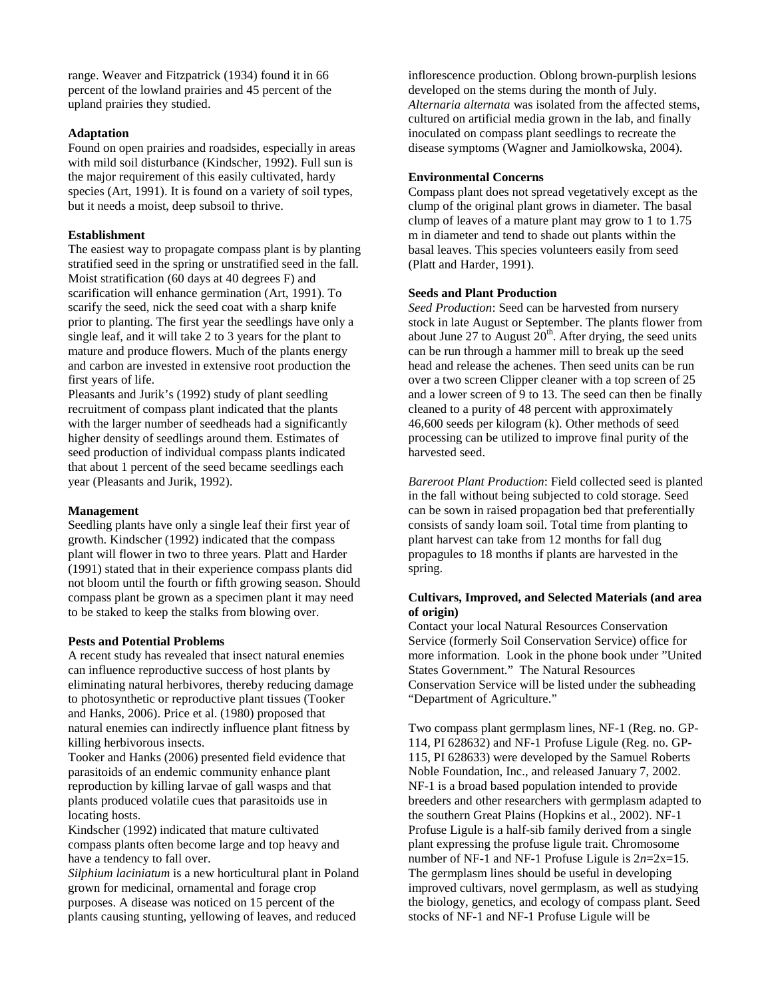range. Weaver and Fitzpatrick (1934) found it in 66 percent of the lowland prairies and 45 percent of the upland prairies they studied.

#### **Adaptation**

Found on open prairies and roadsides, especially in areas with mild soil disturbance (Kindscher, 1992). Full sun is the major requirement of this easily cultivated, hardy species (Art, 1991). It is found on a variety of soil types, but it needs a moist, deep subsoil to thrive.

#### **Establishment**

The easiest way to propagate compass plant is by planting stratified seed in the spring or unstratified seed in the fall. Moist stratification (60 days at 40 degrees F) and scarification will enhance germination (Art, 1991). To scarify the seed, nick the seed coat with a sharp knife prior to planting. The first year the seedlings have only a single leaf, and it will take 2 to 3 years for the plant to mature and produce flowers. Much of the plants energy and carbon are invested in extensive root production the first years of life.

Pleasants and Jurik's (1992) study of plant seedling recruitment of compass plant indicated that the plants with the larger number of seedheads had a significantly higher density of seedlings around them. Estimates of seed production of individual compass plants indicated that about 1 percent of the seed became seedlings each year (Pleasants and Jurik, 1992).

#### **Management**

Seedling plants have only a single leaf their first year of growth. Kindscher (1992) indicated that the compass plant will flower in two to three years. Platt and Harder (1991) stated that in their experience compass plants did not bloom until the fourth or fifth growing season. Should compass plant be grown as a specimen plant it may need to be staked to keep the stalks from blowing over.

#### **Pests and Potential Problems**

A recent study has revealed that insect natural enemies can influence reproductive success of host plants by eliminating natural herbivores, thereby reducing damage to photosynthetic or reproductive plant tissues (Tooker and Hanks, 2006). Price et al. (1980) proposed that natural enemies can indirectly influence plant fitness by killing herbivorous insects.

Tooker and Hanks (2006) presented field evidence that parasitoids of an endemic community enhance plant reproduction by killing larvae of gall wasps and that plants produced volatile cues that parasitoids use in locating hosts.

Kindscher (1992) indicated that mature cultivated compass plants often become large and top heavy and have a tendency to fall over.

*Silphium laciniatum* is a new horticultural plant in Poland grown for medicinal, ornamental and forage crop purposes. A disease was noticed on 15 percent of the plants causing stunting, yellowing of leaves, and reduced

inflorescence production. Oblong brown-purplish lesions developed on the stems during the month of July. *Alternaria alternata* was isolated from the affected stems, cultured on artificial media grown in the lab, and finally inoculated on compass plant seedlings to recreate the disease symptoms (Wagner and Jamiolkowska, 2004).

#### **Environmental Concerns**

Compass plant does not spread vegetatively except as the clump of the original plant grows in diameter. The basal clump of leaves of a mature plant may grow to 1 to 1.75 m in diameter and tend to shade out plants within the basal leaves. This species volunteers easily from seed (Platt and Harder, 1991).

# **Seeds and Plant Production**

*Seed Production*: Seed can be harvested from nursery stock in late August or September. The plants flower from about June 27 to August  $20<sup>th</sup>$ . After drying, the seed units can be run through a hammer mill to break up the seed head and release the achenes. Then seed units can be run over a two screen Clipper cleaner with a top screen of 25 and a lower screen of 9 to 13. The seed can then be finally cleaned to a purity of 48 percent with approximately 46,600 seeds per kilogram (k). Other methods of seed processing can be utilized to improve final purity of the harvested seed.

*Bareroot Plant Production*: Field collected seed is planted in the fall without being subjected to cold storage. Seed can be sown in raised propagation bed that preferentially consists of sandy loam soil. Total time from planting to plant harvest can take from 12 months for fall dug propagules to 18 months if plants are harvested in the spring.

#### **Cultivars, Improved, and Selected Materials (and area of origin)**

Contact your local Natural Resources Conservation Service (formerly Soil Conservation Service) office for more information. Look in the phone book under "United States Government." The Natural Resources Conservation Service will be listed under the subheading "Department of Agriculture."

Two compass plant germplasm lines, NF-1 (Reg. no. GP-114, PI 628632) and NF-1 Profuse Ligule (Reg. no. GP-115, PI 628633) were developed by the Samuel Roberts Noble Foundation, Inc., and released January 7, 2002. NF-1 is a broad based population intended to provide breeders and other researchers with germplasm adapted to the southern Great Plains (Hopkins et al., 2002). NF-1 Profuse Ligule is a half-sib family derived from a single plant expressing the profuse ligule trait. Chromosome number of NF-1 and NF-1 Profuse Ligule is 2*n*=2x=15. The germplasm lines should be useful in developing improved cultivars, novel germplasm, as well as studying the biology, genetics, and ecology of compass plant. Seed stocks of NF-1 and NF-1 Profuse Ligule will be